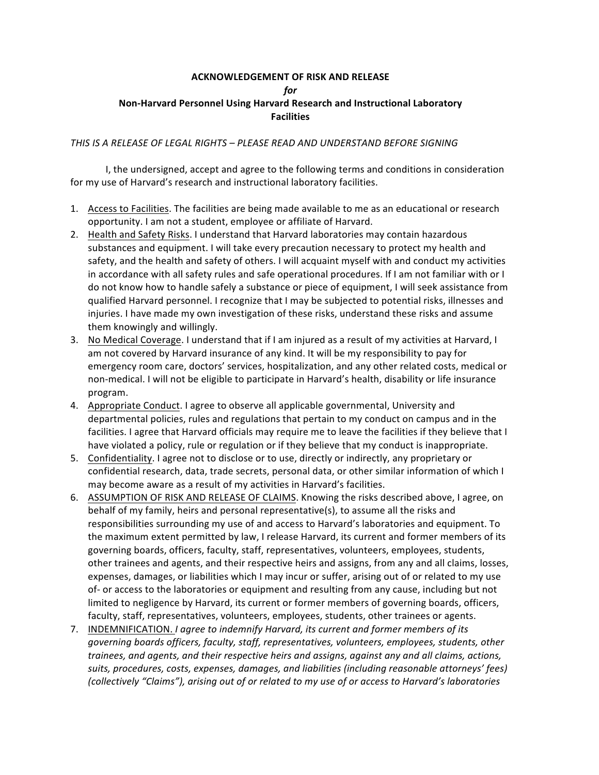## **ACKNOWLEDGEMENT OF RISK AND RELEASE**

*for*

## **Non-Harvard Personnel Using Harvard Research and Instructional Laboratory Facilities**

## *THIS IS A RELEASE OF LEGAL RIGHTS – PLEASE READ AND UNDERSTAND BEFORE SIGNING*

I, the undersigned, accept and agree to the following terms and conditions in consideration for my use of Harvard's research and instructional laboratory facilities.

- 1. Access to Facilities. The facilities are being made available to me as an educational or research opportunity. I am not a student, employee or affiliate of Harvard.
- 2. Health and Safety Risks. I understand that Harvard laboratories may contain hazardous substances and equipment. I will take every precaution necessary to protect my health and safety, and the health and safety of others. I will acquaint myself with and conduct my activities in accordance with all safety rules and safe operational procedures. If I am not familiar with or I do not know how to handle safely a substance or piece of equipment, I will seek assistance from qualified Harvard personnel. I recognize that I may be subjected to potential risks, illnesses and injuries. I have made my own investigation of these risks, understand these risks and assume them knowingly and willingly.
- 3. No Medical Coverage. I understand that if I am injured as a result of my activities at Harvard, I am not covered by Harvard insurance of any kind. It will be my responsibility to pay for emergency room care, doctors' services, hospitalization, and any other related costs, medical or non-medical. I will not be eligible to participate in Harvard's health, disability or life insurance program.
- 4. Appropriate Conduct. I agree to observe all applicable governmental, University and departmental policies, rules and regulations that pertain to my conduct on campus and in the facilities. I agree that Harvard officials may require me to leave the facilities if they believe that I have violated a policy, rule or regulation or if they believe that my conduct is inappropriate.
- 5. Confidentiality. I agree not to disclose or to use, directly or indirectly, any proprietary or confidential research, data, trade secrets, personal data, or other similar information of which I may become aware as a result of my activities in Harvard's facilities.
- 6. ASSUMPTION OF RISK AND RELEASE OF CLAIMS. Knowing the risks described above, I agree, on behalf of my family, heirs and personal representative(s), to assume all the risks and responsibilities surrounding my use of and access to Harvard's laboratories and equipment. To the maximum extent permitted by law, I release Harvard, its current and former members of its governing boards, officers, faculty, staff, representatives, volunteers, employees, students, other trainees and agents, and their respective heirs and assigns, from any and all claims, losses, expenses, damages, or liabilities which I may incur or suffer, arising out of or related to my use of- or access to the laboratories or equipment and resulting from any cause, including but not limited to negligence by Harvard, its current or former members of governing boards, officers, faculty, staff, representatives, volunteers, employees, students, other trainees or agents.
- 7. INDEMNIFICATION. *I agree to indemnify Harvard, its current and former members of its governing boards officers, faculty, staff, representatives, volunteers, employees, students, other trainees, and agents, and their respective heirs and assigns, against any and all claims, actions,*  suits, procedures, costs, expenses, damages, and liabilities (including reasonable attorneys' fees) *(collectively "Claims"), arising out of or related to my use of or access to Harvard's laboratories*